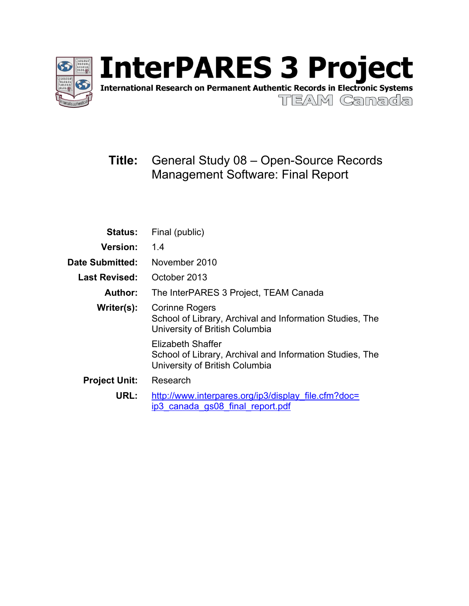

International Research on Permanent Authentic Records in Electronic Systems

TEAM Canada

# **Title:** General Study 08 – Open-Source Records Management Software: Final Report

| <b>Status:</b>       | Final (public)                                                                                                  |  |  |  |
|----------------------|-----------------------------------------------------------------------------------------------------------------|--|--|--|
| <b>Version:</b>      | 1.4                                                                                                             |  |  |  |
| Date Submitted:      | November 2010                                                                                                   |  |  |  |
| <b>Last Revised:</b> | October 2013                                                                                                    |  |  |  |
| Author:              | The InterPARES 3 Project, TEAM Canada                                                                           |  |  |  |
| Writer(s):           | Corinne Rogers<br>School of Library, Archival and Information Studies, The<br>University of British Columbia    |  |  |  |
|                      | Elizabeth Shaffer<br>School of Library, Archival and Information Studies, The<br>University of British Columbia |  |  |  |
| <b>Project Unit:</b> | Research                                                                                                        |  |  |  |
| URL:                 | http://www.interpares.org/ip3/display file.cfm?doc=<br>ip3 canada gs08 final report.pdf                         |  |  |  |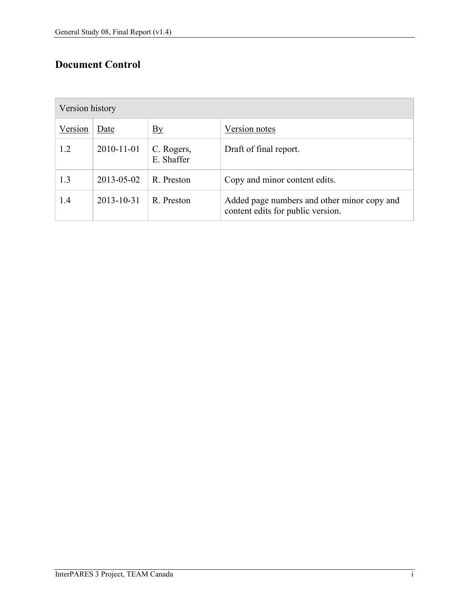# **Document Control**

| Version history |            |                          |                                                                                  |  |  |
|-----------------|------------|--------------------------|----------------------------------------------------------------------------------|--|--|
| Version         | Date       | $\underline{By}$         | Version notes                                                                    |  |  |
| 1.2             | 2010-11-01 | C. Rogers,<br>E. Shaffer | Draft of final report.                                                           |  |  |
| 1.3             | 2013-05-02 | R. Preston               | Copy and minor content edits.                                                    |  |  |
| 1.4             | 2013-10-31 | R. Preston               | Added page numbers and other minor copy and<br>content edits for public version. |  |  |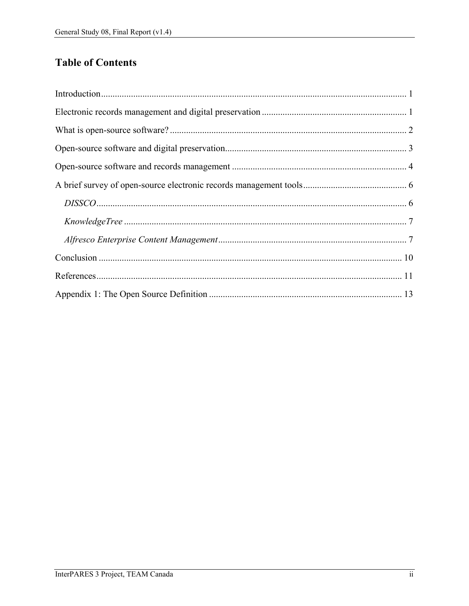# **Table of Contents**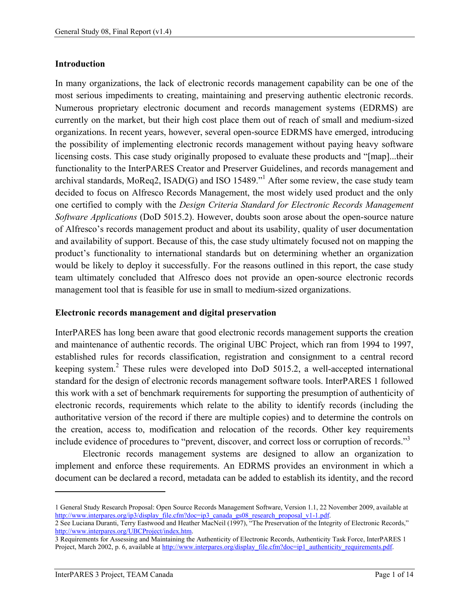#### <span id="page-3-0"></span>**Introduction**

In many organizations, the lack of electronic records management capability can be one of the most serious impediments to creating, maintaining and preserving authentic electronic records. Numerous proprietary electronic document and records management systems (EDRMS) are currently on the market, but their high cost place them out of reach of small and medium-sized organizations. In recent years, however, several open-source EDRMS have emerged, introducing the possibility of implementing electronic records management without paying heavy software licensing costs. This case study originally proposed to evaluate these products and "[map]...their functionality to the InterPARES Creator and Preserver Guidelines, and records management and archival standards, MoReq2, ISAD(G) and ISO 15489."<sup>1</sup> After some review, the case study team decided to focus on Alfresco Records Management, the most widely used product and the only one certified to comply with the *Design Criteria Standard for Electronic Records Management Software Applications* (DoD 5015.2). However, doubts soon arose about the open-source nature of Alfresco's records management product and about its usability, quality of user documentation and availability of support. Because of this, the case study ultimately focused not on mapping the product's functionality to international standards but on determining whether an organization would be likely to deploy it successfully. For the reasons outlined in this report, the case study team ultimately concluded that Alfresco does not provide an open-source electronic records management tool that is feasible for use in small to medium-sized organizations.

#### <span id="page-3-1"></span>**Electronic records management and digital preservation**

InterPARES has long been aware that good electronic records management supports the creation and maintenance of authentic records. The original UBC Project, which ran from 1994 to 1997, established rules for records classification, registration and consignment to a central record keeping system.<sup>2</sup> These rules were developed into DoD 5015.2, a well-accepted international standard for the design of electronic records management software tools. InterPARES 1 followed this work with a set of benchmark requirements for supporting the presumption of authenticity of electronic records, requirements which relate to the ability to identify records (including the authoritative version of the record if there are multiple copies) and to determine the controls on the creation, access to, modification and relocation of the records. Other key requirements include evidence of procedures to "prevent, discover, and correct loss or corruption of records."<sup>3</sup>

Electronic records management systems are designed to allow an organization to implement and enforce these requirements. An EDRMS provides an environment in which a document can be declared a record, metadata can be added to establish its identity, and the record

<sup>1</sup> General Study Research Proposal: Open Source Records Management Software, Version 1.1, 22 November 2009, available at [http://www.interpares.org/ip3/display\\_file.cfm?doc=ip3\\_canada\\_gs08\\_research\\_proposal\\_v1-1.pdf.](http://www.interpares.org/ip3/display_file.cfm?doc=ip3_canada_gs08_research_proposal_v1-1.pdf)

<sup>2</sup> See Luciana Duranti, Terry Eastwood and Heather MacNeil (1997), "The Preservation of the Integrity of Electronic Records," [http://www.interpares.org/UBCProject/index.htm.](http://www.interpares.org/UBCProject/index.htm)

<sup>3</sup> Requirements for Assessing and Maintaining the Authenticity of Electronic Records, Authenticity Task Force, InterPARES 1 Project, March 2002, p. 6, available at [http://www.interpares.org/display\\_file.cfm?doc=ip1\\_authenticity\\_requirements.pdf.](http://www.interpares.org/display_file.cfm?doc=ip1_authenticity_requirements.pdf)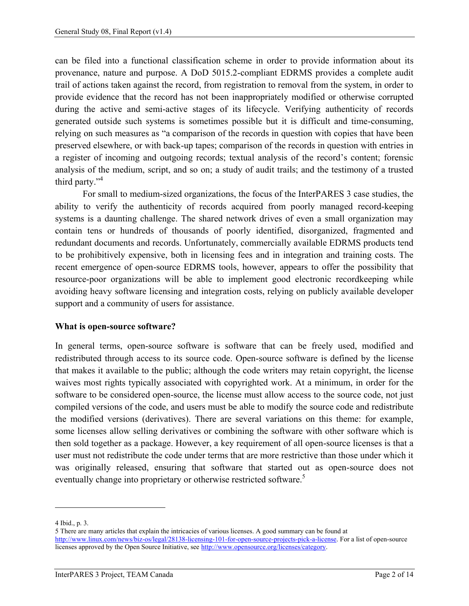can be filed into a functional classification scheme in order to provide information about its provenance, nature and purpose. A DoD 5015.2-compliant EDRMS provides a complete audit trail of actions taken against the record, from registration to removal from the system, in order to provide evidence that the record has not been inappropriately modified or otherwise corrupted during the active and semi-active stages of its lifecycle. Verifying authenticity of records generated outside such systems is sometimes possible but it is difficult and time-consuming, relying on such measures as "a comparison of the records in question with copies that have been preserved elsewhere, or with back-up tapes; comparison of the records in question with entries in a register of incoming and outgoing records; textual analysis of the record's content; forensic analysis of the medium, script, and so on; a study of audit trails; and the testimony of a trusted third party."<sup>4</sup>

For small to medium-sized organizations, the focus of the InterPARES 3 case studies, the ability to verify the authenticity of records acquired from poorly managed record-keeping systems is a daunting challenge. The shared network drives of even a small organization may contain tens or hundreds of thousands of poorly identified, disorganized, fragmented and redundant documents and records. Unfortunately, commercially available EDRMS products tend to be prohibitively expensive, both in licensing fees and in integration and training costs. The recent emergence of open-source EDRMS tools, however, appears to offer the possibility that resource-poor organizations will be able to implement good electronic recordkeeping while avoiding heavy software licensing and integration costs, relying on publicly available developer support and a community of users for assistance.

# <span id="page-4-0"></span>**What is open-source software?**

In general terms, open-source software is software that can be freely used, modified and redistributed through access to its source code. Open-source software is defined by the license that makes it available to the public; although the code writers may retain copyright, the license waives most rights typically associated with copyrighted work. At a minimum, in order for the software to be considered open-source, the license must allow access to the source code, not just compiled versions of the code, and users must be able to modify the source code and redistribute the modified versions (derivatives). There are several variations on this theme: for example, some licenses allow selling derivatives or combining the software with other software which is then sold together as a package. However, a key requirement of all open-source licenses is that a user must not redistribute the code under terms that are more restrictive than those under which it was originally released, ensuring that software that started out as open-source does not eventually change into proprietary or otherwise restricted software.<sup>5</sup>

<sup>4</sup> Ibid., p. 3.

<sup>5</sup> There are many articles that explain the intricacies of various licenses. A good summary can be found at [http://www.linux.com/news/biz-os/legal/28138-licensing-101-for-open-source-projects-pick-a-license.](http://www.linux.com/news/biz-os/legal/28138-licensing-101-for-open-source-projects-pick-a-license) For a list of open-source licenses approved by the Open Source Initiative, see [http://www.opensource.org/licenses/category.](http://www.opensource.org/licenses/category)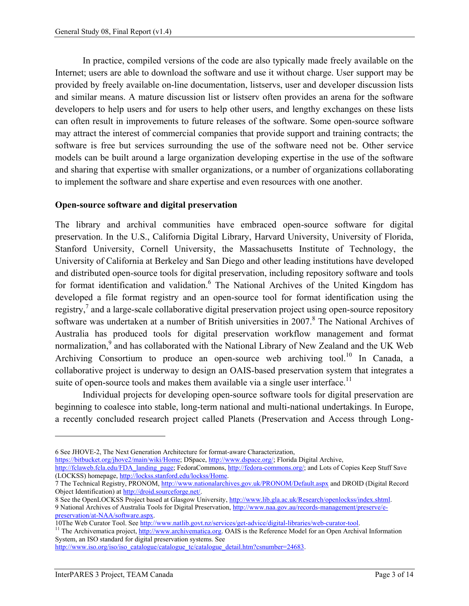In practice, compiled versions of the code are also typically made freely available on the Internet; users are able to download the software and use it without charge. User support may be provided by freely available on-line documentation, listservs, user and developer discussion lists and similar means. A mature discussion list or listserv often provides an arena for the software developers to help users and for users to help other users, and lengthy exchanges on these lists can often result in improvements to future releases of the software. Some open-source software may attract the interest of commercial companies that provide support and training contracts; the software is free but services surrounding the use of the software need not be. Other service models can be built around a large organization developing expertise in the use of the software and sharing that expertise with smaller organizations, or a number of organizations collaborating to implement the software and share expertise and even resources with one another.

# <span id="page-5-0"></span>**Open-source software and digital preservation**

The library and archival communities have embraced open-source software for digital preservation. In the U.S., California Digital Library, Harvard University, University of Florida, Stanford University, Cornell University, the Massachusetts Institute of Technology, the University of California at Berkeley and San Diego and other leading institutions have developed and distributed open-source tools for digital preservation, including repository software and tools for format identification and validation.<sup>6</sup> The National Archives of the United Kingdom has developed a file format registry and an open-source tool for format identification using the registry,<sup>7</sup> and a large-scale collaborative digital preservation project using open-source repository software was undertaken at a number of British universities in 2007.<sup>8</sup> The National Archives of Australia has produced tools for digital preservation workflow management and format normalization,<sup>9</sup> and has collaborated with the National Library of New Zealand and the UK Web Archiving Consortium to produce an open-source web archiving tool.<sup>10</sup> In Canada, a collaborative project is underway to design an OAIS-based preservation system that integrates a suite of open-source tools and makes them available via a single user interface.<sup>11</sup>

Individual projects for developing open-source software tools for digital preservation are beginning to coalesce into stable, long-term national and multi-national undertakings. In Europe, a recently concluded research project called Planets (Preservation and Access through Long-

[http://fclaweb.fcla.edu/FDA\\_landing\\_page;](http://fclaweb.fcla.edu/FDA_landing_page) FedoraCommons[, http://fedora-commons.org/;](http://fedora-commons.org/) and Lots of Copies Keep Stuff Save (LOCKSS) homepage, [http://lockss.stanford.edu/lockss/Home.](http://lockss.stanford.edu/lockss/Home)

[http://www.iso.org/iso/iso\\_catalogue/catalogue\\_tc/catalogue\\_detail.htm?csnumber=24683.](http://www.iso.org/iso/iso_catalogue/catalogue_tc/catalogue_detail.htm?csnumber=24683)

<sup>6</sup> See JHOVE-2, The Next Generation Architecture for format-aware Characterization,

[https://bitbucket.org/jhove2/main/wiki/Home;](https://bitbucket.org/jhove2/main/wiki/Home) DSpace[, http://www.dspace.org/;](http://www.dspace.org/) Florida Digital Archive,

<sup>7</sup> The Technical Registry, PRONOM[, http://www.nationalarchives.gov.uk/PRONOM/Default.aspx](http://www.nationalarchives.gov.uk/PRONOM/Default.aspx) and DROID (Digital Record Object Identification) a[t http://droid.sourceforge.net/.](http://droid.sourceforge.net/)

<sup>8</sup> See the OpenLOCKSS Project based at Glasgow University[, http://www.lib.gla.ac.uk/Research/openlockss/index.shtml.](http://www.lib.gla.ac.uk/Research/openlockss/index.shtml)  9 National Archives of Australia Tools for Digital Preservation, [http://www.naa.gov.au/records-management/preserve/e](http://www.naa.gov.au/records-management/preserve/e-preservation/at-NAA/software.aspx)[preservation/at-NAA/software.aspx.](http://www.naa.gov.au/records-management/preserve/e-preservation/at-NAA/software.aspx)

<sup>10</sup>The Web Curator Tool. See [http://www.natlib.govt.nz/services/get-advice/digital-libraries/web-curator-tool.](http://www.natlib.govt.nz/services/get-advice/digital-libraries/web-curator-tool)

<sup>&</sup>lt;sup>11</sup> The Archivematica project, [http://www.archivematica.org.](http://www.archivematica.org/) OAIS is the Reference Model for an Open Archival Information System, an ISO standard for digital preservation systems. See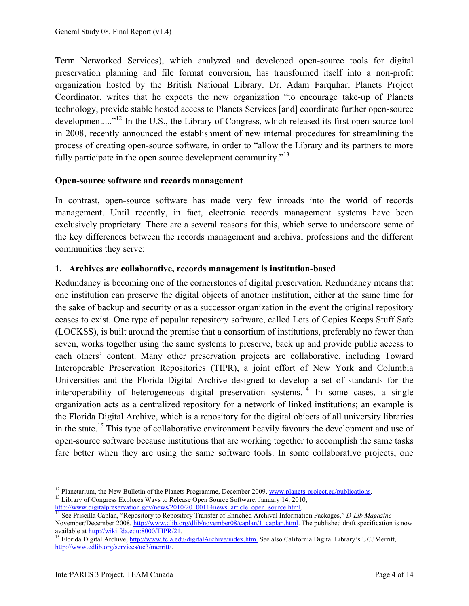Term Networked Services), which analyzed and developed open-source tools for digital preservation planning and file format conversion, has transformed itself into a non-profit organization hosted by the British National Library. Dr. Adam Farquhar, Planets Project Coordinator, writes that he expects the new organization "to encourage take-up of Planets technology, provide stable hosted access to Planets Services [and] coordinate further open-source development...."<sup>12</sup> In the U.S., the Library of Congress, which released its first open-source tool in 2008, recently announced the establishment of new internal procedures for streamlining the process of creating open-source software, in order to "allow the Library and its partners to more fully participate in the open source development community."<sup>13</sup>

#### <span id="page-6-0"></span>**Open-source software and records management**

In contrast, open-source software has made very few inroads into the world of records management. Until recently, in fact, electronic records management systems have been exclusively proprietary. There are a several reasons for this, which serve to underscore some of the key differences between the records management and archival professions and the different communities they serve:

#### **1. Archives are collaborative, records management is institution-based**

Redundancy is becoming one of the cornerstones of digital preservation. Redundancy means that one institution can preserve the digital objects of another institution, either at the same time for the sake of backup and security or as a successor organization in the event the original repository ceases to exist. One type of popular repository software, called Lots of Copies Keeps Stuff Safe (LOCKSS), is built around the premise that a consortium of institutions, preferably no fewer than seven, works together using the same systems to preserve, back up and provide public access to each others' content. Many other preservation projects are collaborative, including Toward Interoperable Preservation Repositories (TIPR), a joint effort of New York and Columbia Universities and the Florida Digital Archive designed to develop a set of standards for the interoperability of heterogeneous digital preservation systems.<sup>14</sup> In some cases, a single organization acts as a centralized repository for a network of linked institutions; an example is the Florida Digital Archive, which is a repository for the digital objects of all university libraries in the state.<sup>15</sup> This type of collaborative environment heavily favours the development and use of open-source software because institutions that are working together to accomplish the same tasks fare better when they are using the same software tools. In some collaborative projects, one

<sup>&</sup>lt;sup>12</sup> Planetarium, the New Bulletin of the Planets Programme, December 2009[, www.planets-project.eu/publications.](http://www.planets-project.eu/publications)

<sup>&</sup>lt;sup>13</sup> Library of Congress Explores Ways to Release Open Source Software, January 14, 2010, [http://www.digitalpreservation.gov/news/2010/20100114news\\_article\\_open\\_source.html.](http://www.digitalpreservation.gov/news/2010/20100114news_article_open_source.html)

<sup>14</sup> See Priscilla Caplan, "Repository to Repository Transfer of Enriched Archival Information Packages," *D-Lib Magazine* November/December 2008, [http://www.dlib.org/dlib/november08/caplan/11caplan.html.](http://www.dlib.org/dlib/november08/caplan/11caplan.html) The published draft specification is now

available a[t http://wiki.fda.edu:8000/TIPR/21.](http://wiki.fda.edu:8000/TIPR/21)

<sup>&</sup>lt;sup>15</sup> Florida Digital Archive, [http://www.fcla.edu/digitalArchive/index.htm.](http://www.fcla.edu/digitalArchive/index.htm) See also California Digital Library's UC3Merritt, [http://www.cdlib.org/services/uc3/merritt/.](http://www.cdlib.org/services/uc3/merritt/)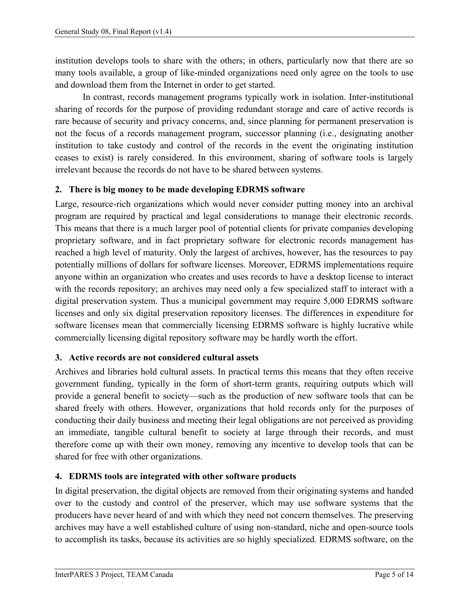institution develops tools to share with the others; in others, particularly now that there are so many tools available, a group of like-minded organizations need only agree on the tools to use and download them from the Internet in order to get started.

In contrast, records management programs typically work in isolation. Inter-institutional sharing of records for the purpose of providing redundant storage and care of active records is rare because of security and privacy concerns, and, since planning for permanent preservation is not the focus of a records management program, successor planning (i.e., designating another institution to take custody and control of the records in the event the originating institution ceases to exist) is rarely considered. In this environment, sharing of software tools is largely irrelevant because the records do not have to be shared between systems.

# **2. There is big money to be made developing EDRMS software**

Large, resource-rich organizations which would never consider putting money into an archival program are required by practical and legal considerations to manage their electronic records. This means that there is a much larger pool of potential clients for private companies developing proprietary software, and in fact proprietary software for electronic records management has reached a high level of maturity. Only the largest of archives, however, has the resources to pay potentially millions of dollars for software licenses. Moreover, EDRMS implementations require anyone within an organization who creates and uses records to have a desktop license to interact with the records repository; an archives may need only a few specialized staff to interact with a digital preservation system. Thus a municipal government may require 5,000 EDRMS software licenses and only six digital preservation repository licenses. The differences in expenditure for software licenses mean that commercially licensing EDRMS software is highly lucrative while commercially licensing digital repository software may be hardly worth the effort.

## **3. Active records are not considered cultural assets**

Archives and libraries hold cultural assets. In practical terms this means that they often receive government funding, typically in the form of short-term grants, requiring outputs which will provide a general benefit to society—such as the production of new software tools that can be shared freely with others. However, organizations that hold records only for the purposes of conducting their daily business and meeting their legal obligations are not perceived as providing an immediate, tangible cultural benefit to society at large through their records, and must therefore come up with their own money, removing any incentive to develop tools that can be shared for free with other organizations.

## **4. EDRMS tools are integrated with other software products**

In digital preservation, the digital objects are removed from their originating systems and handed over to the custody and control of the preserver, which may use software systems that the producers have never heard of and with which they need not concern themselves. The preserving archives may have a well established culture of using non-standard, niche and open-source tools to accomplish its tasks, because its activities are so highly specialized. EDRMS software, on the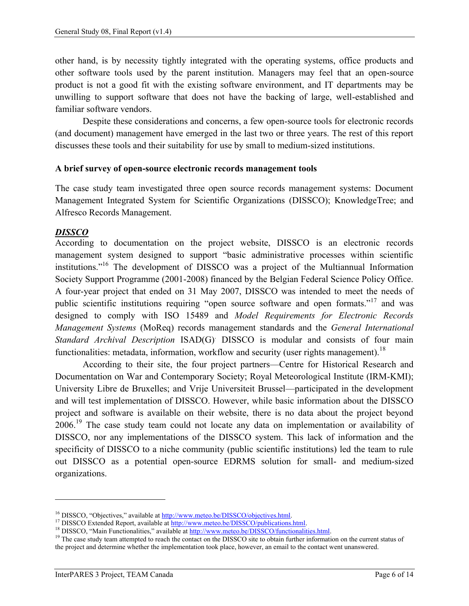other hand, is by necessity tightly integrated with the operating systems, office products and other software tools used by the parent institution. Managers may feel that an open-source product is not a good fit with the existing software environment, and IT departments may be unwilling to support software that does not have the backing of large, well-established and familiar software vendors.

Despite these considerations and concerns, a few open-source tools for electronic records (and document) management have emerged in the last two or three years. The rest of this report discusses these tools and their suitability for use by small to medium-sized institutions.

#### <span id="page-8-0"></span>**A brief survey of open-source electronic records management tools**

The case study team investigated three open source records management systems: Document Management Integrated System for Scientific Organizations (DISSCO); KnowledgeTree; and Alfresco Records Management.

#### <span id="page-8-1"></span>*DISSCO*

 $\overline{a}$ 

According to documentation on the project website, DISSCO is an electronic records management system designed to support "basic administrative processes within scientific institutions."<sup>16</sup> The development of DISSCO was a project of the Multiannual Information Society Support Programme (2001-2008) financed by the Belgian Federal Science Policy Office. A four-year project that ended on 31 May 2007, DISSCO was intended to meet the needs of public scientific institutions requiring "open source software and open formats."<sup>17</sup> and was designed to comply with ISO 15489 and *Model Requirements for Electronic Records Management Systems* (MoReq) records management standards and the *General International Standard Archival Description* ISAD(G). DISSCO is modular and consists of four main functionalities: metadata, information, workflow and security (user rights management).<sup>18</sup>

According to their site, the four project partners—Centre for Historical Research and Documentation on War and Contemporary Society; Royal Meteorological Institute (IRM-KMI); University Libre de Bruxelles; and Vrije Universiteit Brussel—participated in the development and will test implementation of DISSCO. However, while basic information about the DISSCO project and software is available on their website, there is no data about the project beyond 2006.<sup>19</sup> The case study team could not locate any data on implementation or availability of DISSCO, nor any implementations of the DISSCO system. This lack of information and the specificity of DISSCO to a niche community (public scientific institutions) led the team to rule out DISSCO as a potential open-source EDRMS solution for small- and medium-sized organizations.

<sup>&</sup>lt;sup>16</sup> DISSCO, "Objectives," available at [http://www.meteo.be/DISSCO/objectives.html.](http://www.meteo.be/DISSCO/objectives.html)

<sup>&</sup>lt;sup>17</sup> DISSCO Extended Report, available at [http://www.meteo.be/DISSCO/publications.html.](http://www.meteo.be/DISSCO/publications.html)

<sup>&</sup>lt;sup>18</sup> DISSCO, "Main Functionalities," available at http://www.meteo.be/DISSCO/functionalities.html.

<sup>&</sup>lt;sup>19</sup> The case study team attempted to reach the contact on the DISSCO site to obtain further information on the current status of the project and determine whether the implementation took place, however, an email to the contact went unanswered.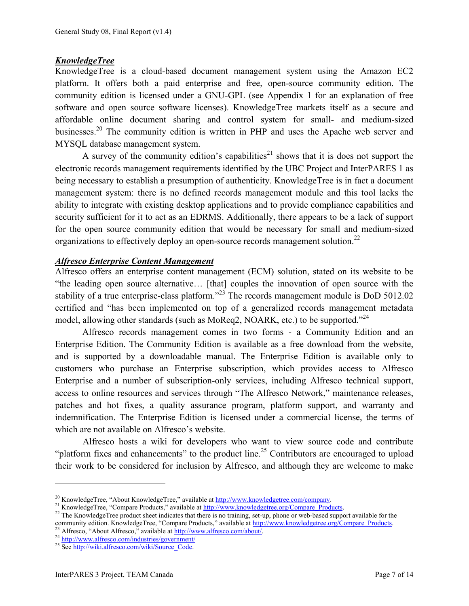## <span id="page-9-0"></span>*KnowledgeTree*

KnowledgeTree is a cloud-based document management system using the Amazon EC2 platform. It offers both a paid enterprise and free, open-source community edition. The community edition is licensed under a GNU-GPL (see Appendix 1 for an explanation of free software and open source software licenses). KnowledgeTree markets itself as a secure and affordable online document sharing and control system for small- and medium-sized businesses.<sup>20</sup> The community edition is written in PHP and uses the Apache web server and MYSQL database management system.

A survey of the community edition's capabilities<sup>21</sup> shows that it is does not support the electronic records management requirements identified by the UBC Project and InterPARES 1 as being necessary to establish a presumption of authenticity. KnowledgeTree is in fact a document management system: there is no defined records management module and this tool lacks the ability to integrate with existing desktop applications and to provide compliance capabilities and security sufficient for it to act as an EDRMS. Additionally, there appears to be a lack of support for the open source community edition that would be necessary for small and medium-sized organizations to effectively deploy an open-source records management solution.<sup>22</sup>

# <span id="page-9-1"></span>*Alfresco Enterprise Content Management*

Alfresco offers an enterprise content management (ECM) solution, stated on its website to be "the leading open source alternative… [that] couples the innovation of open source with the stability of a true enterprise-class platform."<sup>23</sup> The records management module is DoD 5012.02 certified and "has been implemented on top of a generalized records management metadata model, allowing other standards (such as MoReq2, NOARK, etc.) to be supported."<sup>24</sup>

Alfresco records management comes in two forms - a Community Edition and an Enterprise Edition. The Community Edition is available as a free download from the website, and is supported by a downloadable manual. The Enterprise Edition is available only to customers who purchase an Enterprise subscription, which provides access to Alfresco Enterprise and a number of subscription-only services, including Alfresco technical support, access to online resources and services through "The Alfresco Network," maintenance releases, patches and hot fixes, a quality assurance program, platform support, and warranty and indemnification. The Enterprise Edition is licensed under a commercial license, the terms of which are not available on Alfresco's website.

Alfresco hosts a wiki for developers who want to view source code and contribute "platform fixes and enhancements" to the product line.<sup>25</sup> Contributors are encouraged to upload their work to be considered for inclusion by Alfresco, and although they are welcome to make

<sup>&</sup>lt;sup>20</sup> KnowledgeTree, "About KnowledgeTree," available at [http://www.knowledgetree.com/company.](http://www.knowledgetree.com/company)

<sup>&</sup>lt;sup>21</sup> KnowledgeTree, "Compare Products," available a[t http://www.knowledgetree.org/Compare\\_Products.](http://www.knowledgetree.org/Compare_Products)

<sup>&</sup>lt;sup>22</sup> The KnowledgeTree product sheet indicates that there is no training, set-up, phone or web-based support available for the community edition. KnowledgeTree, "Compare Products," available at [http://www.knowledgetree.org/Compare\\_Products.](http://www.knowledgetree.org/Compare_Products)

Alfresco, "About Alfresco," available at [http://www.alfresco.com/about/.](http://www.alfresco.com/about/)

<sup>&</sup>lt;sup>24</sup> <http://www.alfresco.com/industries/government/>

<sup>&</sup>lt;sup>25</sup> Se[e http://wiki.alfresco.com/wiki/Source\\_Code.](http://wiki.alfresco.com/wiki/Source_Code)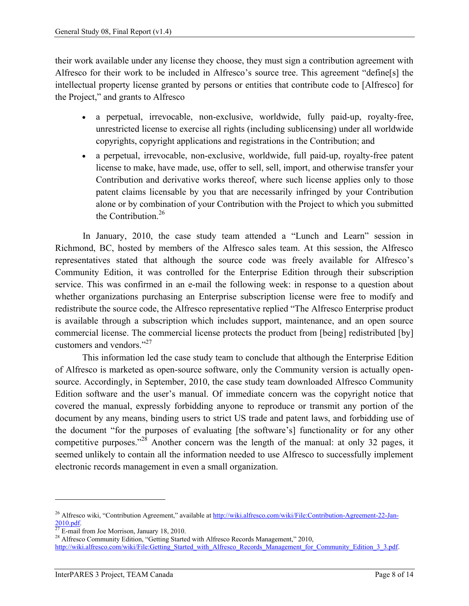their work available under any license they choose, they must sign a contribution agreement with Alfresco for their work to be included in Alfresco's source tree. This agreement "define[s] the intellectual property license granted by persons or entities that contribute code to [Alfresco] for the Project," and grants to Alfresco

- a perpetual, irrevocable, non-exclusive, worldwide, fully paid-up, royalty-free, unrestricted license to exercise all rights (including sublicensing) under all worldwide copyrights, copyright applications and registrations in the Contribution; and
- a perpetual, irrevocable, non-exclusive, worldwide, full paid-up, royalty-free patent license to make, have made, use, offer to sell, sell, import, and otherwise transfer your Contribution and derivative works thereof, where such license applies only to those patent claims licensable by you that are necessarily infringed by your Contribution alone or by combination of your Contribution with the Project to which you submitted the Contribution<sup>26</sup>

In January, 2010, the case study team attended a "Lunch and Learn" session in Richmond, BC, hosted by members of the Alfresco sales team. At this session, the Alfresco representatives stated that although the source code was freely available for Alfresco's Community Edition, it was controlled for the Enterprise Edition through their subscription service. This was confirmed in an e-mail the following week: in response to a question about whether organizations purchasing an Enterprise subscription license were free to modify and redistribute the source code, the Alfresco representative replied "The Alfresco Enterprise product is available through a subscription which includes support, maintenance, and an open source commercial license. The commercial license protects the product from [being] redistributed [by] customers and vendors."<sup>27</sup>

This information led the case study team to conclude that although the Enterprise Edition of Alfresco is marketed as open-source software, only the Community version is actually opensource. Accordingly, in September, 2010, the case study team downloaded Alfresco Community Edition software and the user's manual. Of immediate concern was the copyright notice that covered the manual, expressly forbidding anyone to reproduce or transmit any portion of the document by any means, binding users to strict US trade and patent laws, and forbidding use of the document "for the purposes of evaluating [the software's] functionality or for any other competitive purposes."<sup>28</sup> Another concern was the length of the manual: at only 32 pages, it seemed unlikely to contain all the information needed to use Alfresco to successfully implement electronic records management in even a small organization.

<sup>&</sup>lt;sup>26</sup> Alfresco wiki, "Contribution Agreement," available at [http://wiki.alfresco.com/wiki/File:Contribution-Agreement-22-Jan-](http://wiki.alfresco.com/wiki/File:Contribution-Agreement-22-Jan-2010.pdf) $\frac{2010.pdf}{27}$ .

E-mail from Joe Morrison, January 18, 2010.

<sup>&</sup>lt;sup>28</sup> Alfresco Community Edition, "Getting Started with Alfresco Records Management," 2010,

[http://wiki.alfresco.com/wiki/File:Getting\\_Started\\_with\\_Alfresco\\_Records\\_Management\\_for\\_Community\\_Edition\\_3\\_3.pdf.](http://wiki.alfresco.com/wiki/File:Getting_Started_with_Alfresco_Records_Management_for_Community_Edition_3_3.pdf)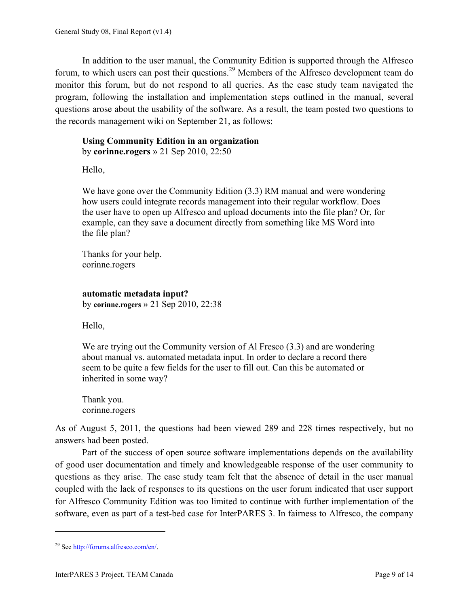In addition to the user manual, the Community Edition is supported through the Alfresco forum, to which users can post their questions.<sup>29</sup> Members of the Alfresco development team do monitor this forum, but do not respond to all queries. As the case study team navigated the program, following the installation and implementation steps outlined in the manual, several questions arose about the usability of the software. As a result, the team posted two questions to the records management wiki on September 21, as follows:

#### **Using Community Edition in an organization** by **corinne.rogers** » 21 Sep 2010, 22:50

Hello,

We have gone over the Community Edition (3.3) RM manual and were wondering how users could integrate records management into their regular workflow. Does the user have to open up Alfresco and upload documents into the file plan? Or, for example, can they save a document directly from something like MS Word into the file plan?

Thanks for your help. corinne.rogers

#### **automatic metadata input?**

by **corinne.rogers** » 21 Sep 2010, 22:38

Hello,

We are trying out the Community version of Al Fresco (3.3) and are wondering about manual vs. automated metadata input. In order to declare a record there seem to be quite a few fields for the user to fill out. Can this be automated or inherited in some way?

Thank you. corinne.rogers

As of August 5, 2011, the questions had been viewed 289 and 228 times respectively, but no answers had been posted.

Part of the success of open source software implementations depends on the availability of good user documentation and timely and knowledgeable response of the user community to questions as they arise. The case study team felt that the absence of detail in the user manual coupled with the lack of responses to its questions on the user forum indicated that user support for Alfresco Community Edition was too limited to continue with further implementation of the software, even as part of a test-bed case for InterPARES 3. In fairness to Alfresco, the company

<sup>29</sup> Se[e http://forums.alfresco.com/en/.](http://forums.alfresco.com/en/)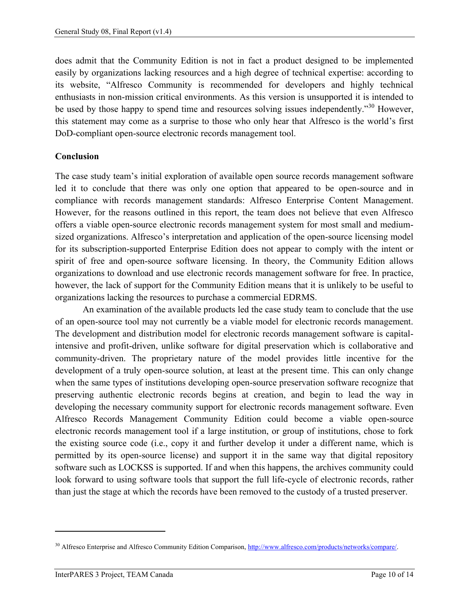does admit that the Community Edition is not in fact a product designed to be implemented easily by organizations lacking resources and a high degree of technical expertise: according to its website, "Alfresco Community is recommended for developers and highly technical enthusiasts in non-mission critical environments. As this version is unsupported it is intended to be used by those happy to spend time and resources solving issues independently."<sup>30</sup> However, this statement may come as a surprise to those who only hear that Alfresco is the world's first DoD-compliant open-source electronic records management tool.

# <span id="page-12-0"></span>**Conclusion**

The case study team's initial exploration of available open source records management software led it to conclude that there was only one option that appeared to be open-source and in compliance with records management standards: Alfresco Enterprise Content Management. However, for the reasons outlined in this report, the team does not believe that even Alfresco offers a viable open-source electronic records management system for most small and mediumsized organizations. Alfresco's interpretation and application of the open-source licensing model for its subscription-supported Enterprise Edition does not appear to comply with the intent or spirit of free and open-source software licensing. In theory, the Community Edition allows organizations to download and use electronic records management software for free. In practice, however, the lack of support for the Community Edition means that it is unlikely to be useful to organizations lacking the resources to purchase a commercial EDRMS.

An examination of the available products led the case study team to conclude that the use of an open-source tool may not currently be a viable model for electronic records management. The development and distribution model for electronic records management software is capitalintensive and profit-driven, unlike software for digital preservation which is collaborative and community-driven. The proprietary nature of the model provides little incentive for the development of a truly open-source solution, at least at the present time. This can only change when the same types of institutions developing open-source preservation software recognize that preserving authentic electronic records begins at creation, and begin to lead the way in developing the necessary community support for electronic records management software. Even Alfresco Records Management Community Edition could become a viable open-source electronic records management tool if a large institution, or group of institutions, chose to fork the existing source code (i.e., copy it and further develop it under a different name, which is permitted by its open-source license) and support it in the same way that digital repository software such as LOCKSS is supported. If and when this happens, the archives community could look forward to using software tools that support the full life-cycle of electronic records, rather than just the stage at which the records have been removed to the custody of a trusted preserver.

<sup>30</sup> Alfresco Enterprise and Alfresco Community Edition Comparison[, http://www.alfresco.com/products/networks/compare/.](http://www.alfresco.com/products/networks/compare/)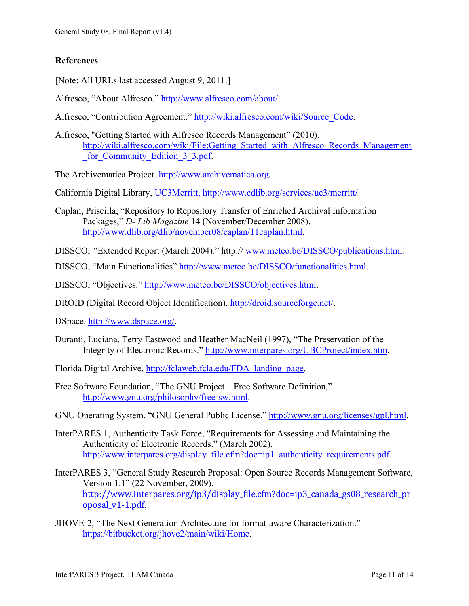# <span id="page-13-0"></span>**References**

[Note: All URLs last accessed August 9, 2011.]

Alfresco, "About Alfresco." [http://www.alfresco.com/about/.](http://www.alfresco.com/about/)

Alfresco, "Contribution Agreement." [http://wiki.alfresco.com/wiki/Source\\_Code.](http://wiki.alfresco.com/wiki/Source_Code)

Alfresco, "Getting Started with Alfresco Records Management" (2010). [http://wiki.alfresco.com/wiki/File:Getting\\_Started\\_with\\_Alfresco\\_Records\\_Management](http://wiki.alfresco.com/wiki/File:Getting_Started_with_Alfresco_Records_Management_for_Community_Edition_3_3.pdf) for Community Edition 3 3.pdf.

The Archivematica Project. [http://www.archivematica.org](http://www.archivematica.org/).

California Digital Library, UC3Merritt, http://www.cdlib.org/services/uc3/merritt/.

Caplan, Priscilla, "Repository to Repository Transfer of Enriched Archival Information Packages," *D- Lib Magazine* 14 (November/December 2008). [http://www.dlib.org/dlib/november08/caplan/11caplan.html.](http://www.dlib.org/dlib/november08/caplan/11caplan.html)

DISSCO, *"*Extended Report (March 2004)*.*" http:// [www.meteo.be/DISSCO/publications.html](http://www.meteo.be/DISSCO/publications.html).

DISSCO, "Main Functionalities" [http://www.meteo.be/DISSCO/functionalities.html.](http://www.meteo.be/DISSCO/functionalities.html)

DISSCO, "Objectives." [http://www.meteo.be/DISSCO/objectives.html.](http://www.meteo.be/DISSCO/objectives.html)

DROID (Digital Record Object Identification). [http://droid.sourceforge.net/.](http://droid.sourceforge.net/)

DSpace. [http://www.dspace.org/.](http://www.dspace.org/)

Duranti, Luciana, Terry Eastwood and Heather MacNeil (1997), "The Preservation of the Integrity of Electronic Records." [http://www.interpares.org/UBCProject/index.htm.](http://www.interpares.org/UBCProject/index.htm)

Florida Digital Archive. [http://fclaweb.fcla.edu/FDA\\_landing\\_page.](http://fclaweb.fcla.edu/FDA_landing_page)

Free Software Foundation, "The GNU Project – Free Software Definition," [http://www.gnu.org/philosophy/free-sw.html.](http://www.gnu.org/philosophy/free-sw.html)

GNU Operating System, "GNU General Public License." [http://www.gnu.org/licenses/gpl.html.](http://www.gnu.org/licenses/gpl.html)

- InterPARES 1, Authenticity Task Force, "Requirements for Assessing and Maintaining the Authenticity of Electronic Records." (March 2002). [http://www.interpares.org/display\\_file.cfm?doc=ip1\\_authenticity\\_requirements.pdf.](http://www.interpares.org/display_file.cfm?doc=ip1_authenticity_requirements.pdf)
- InterPARES 3, "General Study Research Proposal: Open Source Records Management Software, Version 1.1" (22 November, 2009). [http://www.interpares.org/ip3/display\\_file.cfm?doc=ip3\\_canada\\_gs08\\_research\\_pr](http://www.interpares.org/ip3/display_file.cfm?doc=ip3_canada_gs08_research_proposal_v1-1.pdf) [oposal\\_v1-1.pdf.](http://www.interpares.org/ip3/display_file.cfm?doc=ip3_canada_gs08_research_proposal_v1-1.pdf)
- JHOVE-2, "The Next Generation Architecture for format-aware Characterization." [https://bitbucket.org/jhove2/main/wiki/Home.](https://bitbucket.org/jhove2/main/wiki/Home)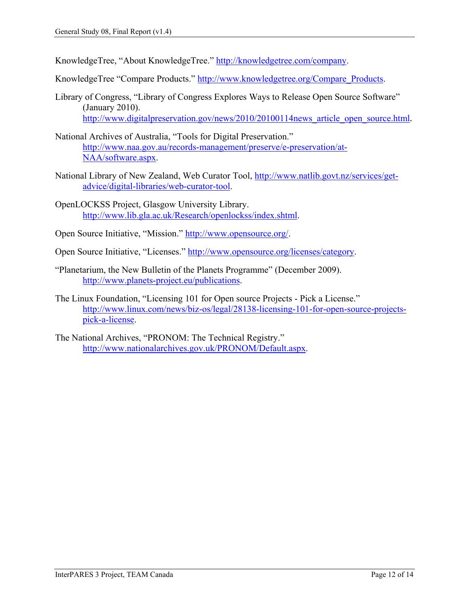KnowledgeTree, "About KnowledgeTree." [http://knowledgetree.com/company.](http://knowledgetree.com/company)

KnowledgeTree "Compare Products." [http://www.knowledgetree.org/Compare\\_Products.](http://www.knowledgetree.org/Compare_Products)

- Library of Congress, "Library of Congress Explores Ways to Release Open Source Software" (January 2010). http://www.digitalpreservation.gov/news/2010/20100114news article open source.html.
- National Archives of Australia, "Tools for Digital Preservation." [http://www.naa.gov.au/records-management/preserve/e-preservation/at-](http://www.naa.gov.au/records-management/preserve/e-preservation/at-NAA/software.aspx)[NAA/software.aspx.](http://www.naa.gov.au/records-management/preserve/e-preservation/at-NAA/software.aspx)
- National Library of New Zealand, Web Curator Tool, [http://www.natlib.govt.nz/services/get](http://www.natlib.govt.nz/services/get-advice/digital-libraries/web-curator-tool)[advice/digital-libraries/web-curator-tool.](http://www.natlib.govt.nz/services/get-advice/digital-libraries/web-curator-tool)
- OpenLOCKSS Project, Glasgow University Library. [http://www.lib.gla.ac.uk/Research/openlockss/index.shtml.](http://www.lib.gla.ac.uk/Research/openlockss/index.shtml)
- Open Source Initiative, "Mission." [http://www.opensource.org/.](http://www.opensource.org/)
- Open Source Initiative, "Licenses." [http://www.opensource.org/licenses/category.](http://www.opensource.org/licenses/category)
- "Planetarium, the New Bulletin of the Planets Programme" (December 2009). [http://www.planets-project.eu/publications.](http://www.planets-project.eu/publications)
- The Linux Foundation, "Licensing 101 for Open source Projects Pick a License." [http://www.linux.com/news/biz-os/legal/28138-licensing-101-for-open-source-projects](http://www.linux.com/news/biz-os/legal/28138-licensing-101-for-open-source-projects-pick-a-license)[pick-a-license.](http://www.linux.com/news/biz-os/legal/28138-licensing-101-for-open-source-projects-pick-a-license)
- The National Archives, "PRONOM: The Technical Registry." [http://www.nationalarchives.gov.uk/PRONOM/Default.aspx.](http://www.nationalarchives.gov.uk/PRONOM/Default.aspx)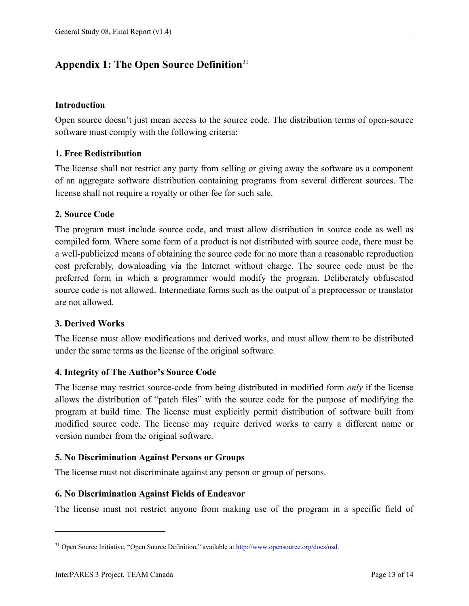# <span id="page-15-0"></span>**Appendix 1: The Open Source Definition**<sup>31</sup>

# **Introduction**

Open source doesn't just mean access to the source code. The distribution terms of open-source software must comply with the following criteria:

# **1. Free Redistribution**

The license shall not restrict any party from selling or giving away the software as a component of an aggregate software distribution containing programs from several different sources. The license shall not require a royalty or other fee for such sale.

# **2. Source Code**

The program must include source code, and must allow distribution in source code as well as compiled form. Where some form of a product is not distributed with source code, there must be a well-publicized means of obtaining the source code for no more than a reasonable reproduction cost preferably, downloading via the Internet without charge. The source code must be the preferred form in which a programmer would modify the program. Deliberately obfuscated source code is not allowed. Intermediate forms such as the output of a preprocessor or translator are not allowed.

## **3. Derived Works**

The license must allow modifications and derived works, and must allow them to be distributed under the same terms as the license of the original software.

## **4. Integrity of The Author's Source Code**

The license may restrict source-code from being distributed in modified form *only* if the license allows the distribution of "patch files" with the source code for the purpose of modifying the program at build time. The license must explicitly permit distribution of software built from modified source code. The license may require derived works to carry a different name or version number from the original software.

## **5. No Discrimination Against Persons or Groups**

The license must not discriminate against any person or group of persons.

## **6. No Discrimination Against Fields of Endeavor**

The license must not restrict anyone from making use of the program in a specific field of

<sup>&</sup>lt;sup>31</sup> Open Source Initiative, "Open Source Definition," available at [http://www.opensource.org/docs/osd.](http://www.opensource.org/docs/osd)